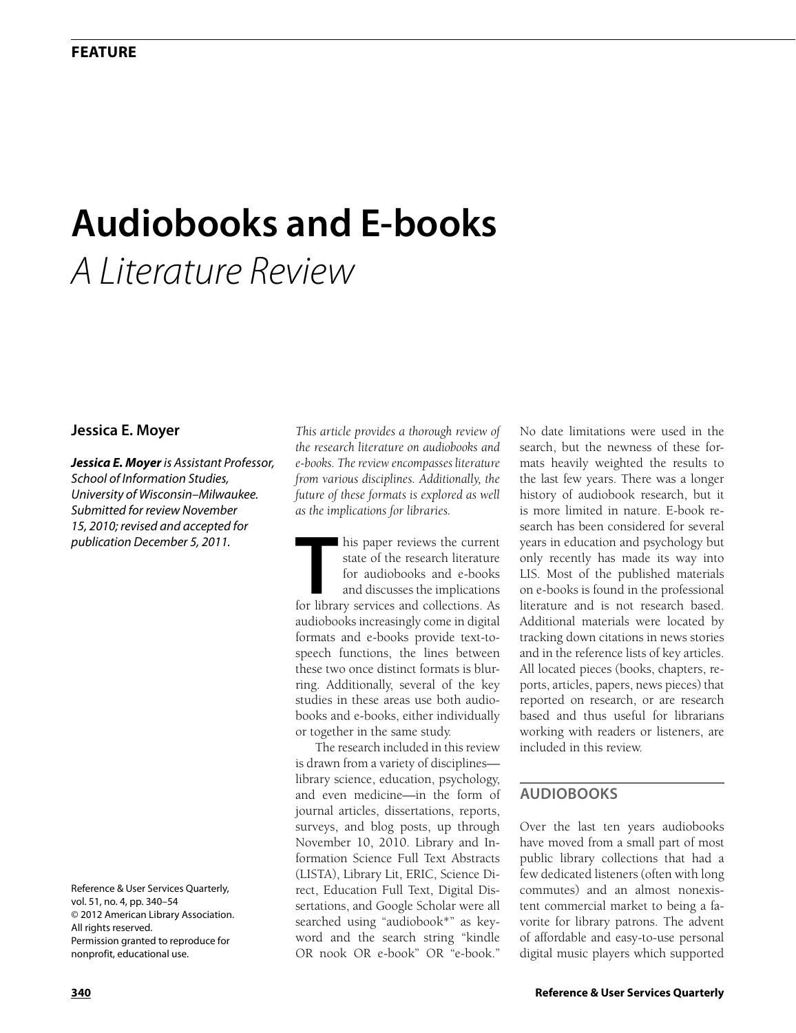# **Audiobooks and E-books** *A Literature Review*

# **Jessica E. Moyer**

*Jessica E. Moyer is Assistant Professor, School of Information Studies, University of Wisconsin–Milwaukee. Submitted for review November 15, 2010; revised and accepted for publication December 5, 2011.*

Reference & User Services Quarterly, vol. 51, no. 4, pp. 340–54 © 2012 American Library Association. All rights reserved. Permission granted to reproduce for nonprofit, educational use.

*This article provides a thorough review of the research literature on audiobooks and e-books. The review encompasses literature from various disciplines. Additionally, the future of these formats is explored as well as the implications for libraries.*

**THE EXECUTE:** This paper reviews the current state of the research literature for audiobooks and e-books and discusses the implications. As state of the research literature for audiobooks and e-books and discusses the implications audiobooks increasingly come in digital formats and e-books provide text-tospeech functions, the lines between these two once distinct formats is blurring. Additionally, several of the key studies in these areas use both audiobooks and e-books, either individually or together in the same study.

The research included in this review is drawn from a variety of disciplines library science, education, psychology, and even medicine—in the form of journal articles, dissertations, reports, surveys, and blog posts, up through November 10, 2010. Library and Information Science Full Text Abstracts (LISTA), Library Lit, ERIC, Science Direct, Education Full Text, Digital Dissertations, and Google Scholar were all searched using "audiobook\*" as keyword and the search string "kindle OR nook OR e-book" OR "e-book."

No date limitations were used in the search, but the newness of these formats heavily weighted the results to the last few years. There was a longer history of audiobook research, but it is more limited in nature. E-book research has been considered for several years in education and psychology but only recently has made its way into LIS. Most of the published materials on e-books is found in the professional literature and is not research based. Additional materials were located by tracking down citations in news stories and in the reference lists of key articles. All located pieces (books, chapters, reports, articles, papers, news pieces) that reported on research, or are research based and thus useful for librarians working with readers or listeners, are included in this review.

# **Audiobooks**

Over the last ten years audiobooks have moved from a small part of most public library collections that had a few dedicated listeners (often with long commutes) and an almost nonexistent commercial market to being a favorite for library patrons. The advent of affordable and easy-to-use personal digital music players which supported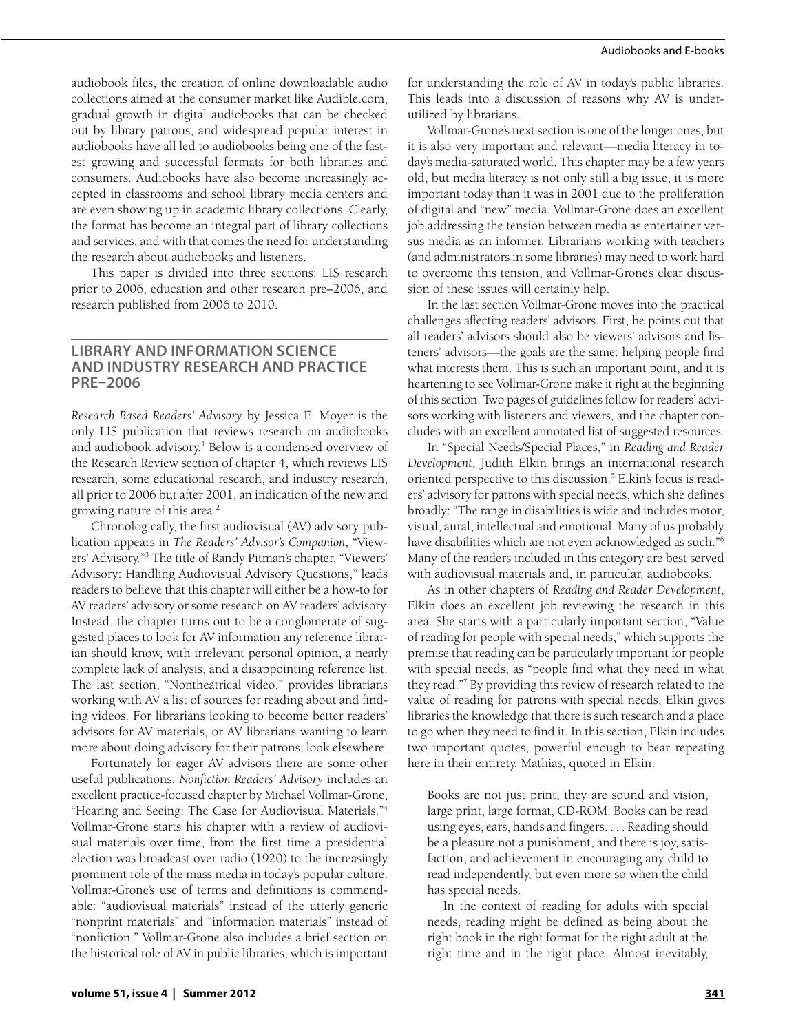audiobook files, the creation of online downloadable audio collections aimed at the consumer market like Audible.com, gradual growth in digital audiobooks that can be checked out by library patrons, and widespread popular interest in audiobooks have all led to audiobooks being one of the fastest growing and successful formats for both libraries and consumers. Audiobooks have also become increasingly accepted in classrooms and school library media centers and are even showing up in academic library collections. Clearly, the format has become an integral part of library collections and services, and with that comes the need for understanding the research about audiobooks and listeners.

This paper is divided into three sections: LIS research prior to 2006, education and other research pre–2006, and research published from 2006 to 2010.

## **Library and Information Science and Industry Research and Practice pre–2006**

*Research Based Readers' Advisory* by Jessica E. Moyer is the only LIS publication that reviews research on audiobooks and audiobook advisory.<sup>1</sup> Below is a condensed overview of the Research Review section of chapter 4, which reviews LIS research, some educational research, and industry research, all prior to 2006 but after 2001, an indication of the new and growing nature of this area.<sup>2</sup>

Chronologically, the first audiovisual (AV) advisory publication appears in *The Readers' Advisor's Companion*, "Viewers' Advisory."3 The title of Randy Pitman's chapter, "Viewers' Advisory: Handling Audiovisual Advisory Questions," leads readers to believe that this chapter will either be a how-to for AV readers' advisory or some research on AV readers' advisory. Instead, the chapter turns out to be a conglomerate of suggested places to look for AV information any reference librarian should know, with irrelevant personal opinion, a nearly complete lack of analysis, and a disappointing reference list. The last section, "Nontheatrical video," provides librarians working with AV a list of sources for reading about and finding videos. For librarians looking to become better readers' advisors for AV materials, or AV librarians wanting to learn more about doing advisory for their patrons, look elsewhere.

Fortunately for eager AV advisors there are some other useful publications. *Nonfiction Readers' Advisory* includes an excellent practice-focused chapter by Michael Vollmar-Grone, "Hearing and Seeing: The Case for Audiovisual Materials."4 Vollmar-Grone starts his chapter with a review of audiovisual materials over time, from the first time a presidential election was broadcast over radio (1920) to the increasingly prominent role of the mass media in today's popular culture. Vollmar-Grone's use of terms and definitions is commendable: "audiovisual materials" instead of the utterly generic "nonprint materials" and "information materials" instead of "nonfiction." Vollmar-Grone also includes a brief section on the historical role of AV in public libraries, which is important for understanding the role of AV in today's public libraries. This leads into a discussion of reasons why AV is underutilized by librarians.

Vollmar-Grone's next section is one of the longer ones, but it is also very important and relevant—media literacy in today's media-saturated world. This chapter may be a few years old, but media literacy is not only still a big issue, it is more important today than it was in 2001 due to the proliferation of digital and "new" media. Vollmar-Grone does an excellent job addressing the tension between media as entertainer versus media as an informer. Librarians working with teachers (and administrators in some libraries) may need to work hard to overcome this tension, and Vollmar-Grone's clear discussion of these issues will certainly help.

In the last section Vollmar-Grone moves into the practical challenges affecting readers' advisors. First, he points out that all readers' advisors should also be viewers' advisors and listeners' advisors—the goals are the same: helping people find what interests them. This is such an important point, and it is heartening to see Vollmar-Grone make it right at the beginning of this section. Two pages of guidelines follow for readers' advisors working with listeners and viewers, and the chapter concludes with an excellent annotated list of suggested resources.

In "Special Needs/Special Places," in *Reading and Reader Development*, Judith Elkin brings an international research oriented perspective to this discussion.<sup>5</sup> Elkin's focus is readers' advisory for patrons with special needs, which she defines broadly: "The range in disabilities is wide and includes motor, visual, aural, intellectual and emotional. Many of us probably have disabilities which are not even acknowledged as such."6 Many of the readers included in this category are best served with audiovisual materials and, in particular, audiobooks.

As in other chapters of *Reading and Reader Development*, Elkin does an excellent job reviewing the research in this area. She starts with a particularly important section, "Value of reading for people with special needs," which supports the premise that reading can be particularly important for people with special needs, as "people find what they need in what they read."7 By providing this review of research related to the value of reading for patrons with special needs, Elkin gives libraries the knowledge that there is such research and a place to go when they need to find it. In this section, Elkin includes two important quotes, powerful enough to bear repeating here in their entirety. Mathias, quoted in Elkin:

Books are not just print, they are sound and vision, large print, large format, CD-ROM. Books can be read using eyes, ears, hands and fingers. . . . Reading should be a pleasure not a punishment, and there is joy, satisfaction, and achievement in encouraging any child to read independently, but even more so when the child has special needs.

In the context of reading for adults with special needs, reading might be defined as being about the right book in the right format for the right adult at the right time and in the right place. Almost inevitably,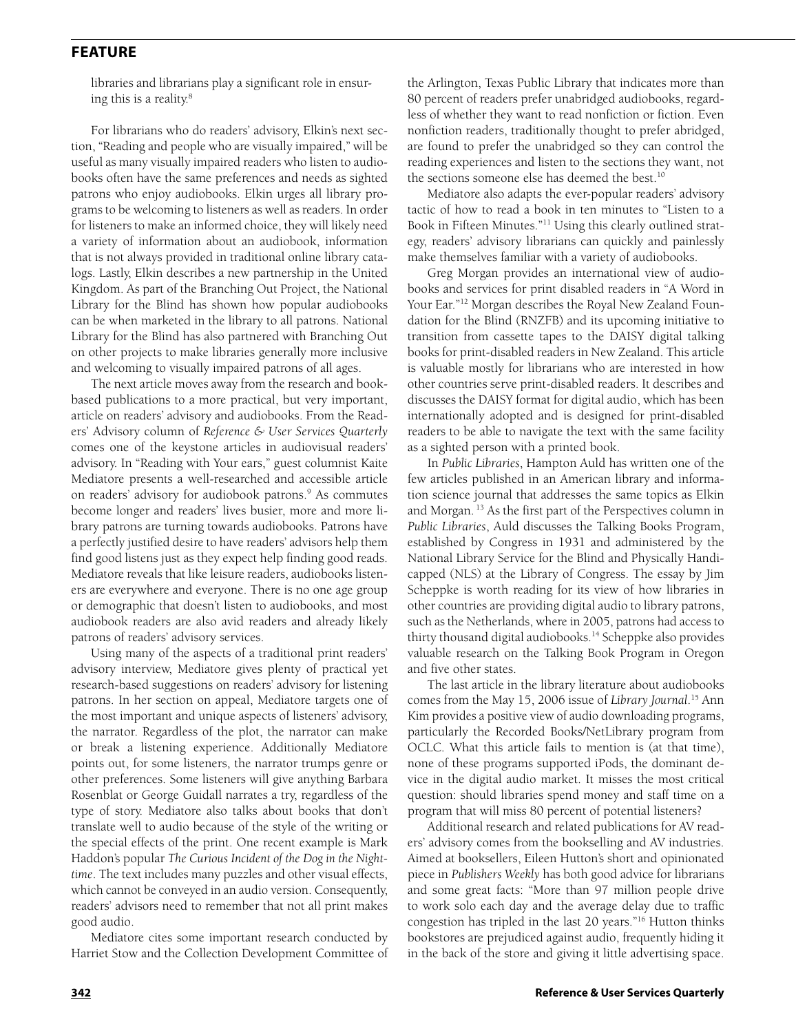libraries and librarians play a significant role in ensuring this is a reality.<sup>8</sup>

For librarians who do readers' advisory, Elkin's next section, "Reading and people who are visually impaired," will be useful as many visually impaired readers who listen to audiobooks often have the same preferences and needs as sighted patrons who enjoy audiobooks. Elkin urges all library programs to be welcoming to listeners as well as readers. In order for listeners to make an informed choice, they will likely need a variety of information about an audiobook, information that is not always provided in traditional online library catalogs. Lastly, Elkin describes a new partnership in the United Kingdom. As part of the Branching Out Project, the National Library for the Blind has shown how popular audiobooks can be when marketed in the library to all patrons. National Library for the Blind has also partnered with Branching Out on other projects to make libraries generally more inclusive and welcoming to visually impaired patrons of all ages.

The next article moves away from the research and bookbased publications to a more practical, but very important, article on readers' advisory and audiobooks. From the Readers' Advisory column of *Reference & User Services Quarterly* comes one of the keystone articles in audiovisual readers' advisory. In "Reading with Your ears," guest columnist Kaite Mediatore presents a well-researched and accessible article on readers' advisory for audiobook patrons.<sup>9</sup> As commutes become longer and readers' lives busier, more and more library patrons are turning towards audiobooks. Patrons have a perfectly justified desire to have readers' advisors help them find good listens just as they expect help finding good reads. Mediatore reveals that like leisure readers, audiobooks listeners are everywhere and everyone. There is no one age group or demographic that doesn't listen to audiobooks, and most audiobook readers are also avid readers and already likely patrons of readers' advisory services.

Using many of the aspects of a traditional print readers' advisory interview, Mediatore gives plenty of practical yet research-based suggestions on readers' advisory for listening patrons. In her section on appeal, Mediatore targets one of the most important and unique aspects of listeners' advisory, the narrator. Regardless of the plot, the narrator can make or break a listening experience. Additionally Mediatore points out, for some listeners, the narrator trumps genre or other preferences. Some listeners will give anything Barbara Rosenblat or George Guidall narrates a try, regardless of the type of story. Mediatore also talks about books that don't translate well to audio because of the style of the writing or the special effects of the print. One recent example is Mark Haddon's popular *The Curious Incident of the Dog in the Nighttime*. The text includes many puzzles and other visual effects, which cannot be conveyed in an audio version. Consequently, readers' advisors need to remember that not all print makes good audio.

Mediatore cites some important research conducted by Harriet Stow and the Collection Development Committee of the Arlington, Texas Public Library that indicates more than 80 percent of readers prefer unabridged audiobooks, regardless of whether they want to read nonfiction or fiction. Even nonfiction readers, traditionally thought to prefer abridged, are found to prefer the unabridged so they can control the reading experiences and listen to the sections they want, not the sections someone else has deemed the best.<sup>10</sup>

Mediatore also adapts the ever-popular readers' advisory tactic of how to read a book in ten minutes to "Listen to a Book in Fifteen Minutes."11 Using this clearly outlined strategy, readers' advisory librarians can quickly and painlessly make themselves familiar with a variety of audiobooks.

Greg Morgan provides an international view of audiobooks and services for print disabled readers in "A Word in Your Ear."<sup>12</sup> Morgan describes the Royal New Zealand Foundation for the Blind (RNZFB) and its upcoming initiative to transition from cassette tapes to the DAISY digital talking books for print-disabled readers in New Zealand. This article is valuable mostly for librarians who are interested in how other countries serve print-disabled readers. It describes and discusses the DAISY format for digital audio, which has been internationally adopted and is designed for print-disabled readers to be able to navigate the text with the same facility as a sighted person with a printed book.

In *Public Libraries*, Hampton Auld has written one of the few articles published in an American library and information science journal that addresses the same topics as Elkin and Morgan. 13 As the first part of the Perspectives column in *Public Libraries*, Auld discusses the Talking Books Program, established by Congress in 1931 and administered by the National Library Service for the Blind and Physically Handicapped (NLS) at the Library of Congress. The essay by Jim Scheppke is worth reading for its view of how libraries in other countries are providing digital audio to library patrons, such as the Netherlands, where in 2005, patrons had access to thirty thousand digital audiobooks.14 Scheppke also provides valuable research on the Talking Book Program in Oregon and five other states.

The last article in the library literature about audiobooks comes from the May 15, 2006 issue of *Library Journal*. 15 Ann Kim provides a positive view of audio downloading programs, particularly the Recorded Books/NetLibrary program from OCLC. What this article fails to mention is (at that time), none of these programs supported iPods, the dominant device in the digital audio market. It misses the most critical question: should libraries spend money and staff time on a program that will miss 80 percent of potential listeners?

Additional research and related publications for AV readers' advisory comes from the bookselling and AV industries. Aimed at booksellers, Eileen Hutton's short and opinionated piece in *Publishers Weekly* has both good advice for librarians and some great facts: "More than 97 million people drive to work solo each day and the average delay due to traffic congestion has tripled in the last 20 years."16 Hutton thinks bookstores are prejudiced against audio, frequently hiding it in the back of the store and giving it little advertising space.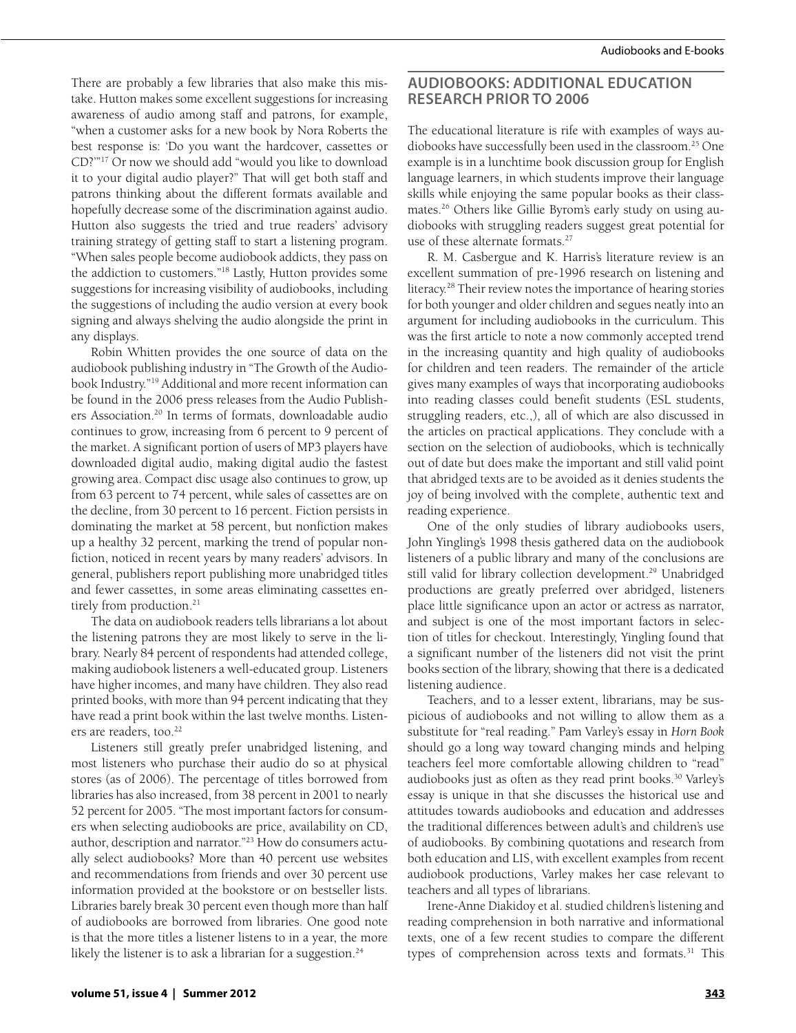There are probably a few libraries that also make this mistake. Hutton makes some excellent suggestions for increasing awareness of audio among staff and patrons, for example, "when a customer asks for a new book by Nora Roberts the best response is: 'Do you want the hardcover, cassettes or CD?'"17 Or now we should add "would you like to download it to your digital audio player?" That will get both staff and patrons thinking about the different formats available and hopefully decrease some of the discrimination against audio. Hutton also suggests the tried and true readers' advisory training strategy of getting staff to start a listening program. "When sales people become audiobook addicts, they pass on the addiction to customers."18 Lastly, Hutton provides some suggestions for increasing visibility of audiobooks, including the suggestions of including the audio version at every book signing and always shelving the audio alongside the print in any displays.

Robin Whitten provides the one source of data on the audiobook publishing industry in "The Growth of the Audiobook Industry."19 Additional and more recent information can be found in the 2006 press releases from the Audio Publishers Association.20 In terms of formats, downloadable audio continues to grow, increasing from 6 percent to 9 percent of the market. A significant portion of users of MP3 players have downloaded digital audio, making digital audio the fastest growing area. Compact disc usage also continues to grow, up from 63 percent to 74 percent, while sales of cassettes are on the decline, from 30 percent to 16 percent. Fiction persists in dominating the market at 58 percent, but nonfiction makes up a healthy 32 percent, marking the trend of popular nonfiction, noticed in recent years by many readers' advisors. In general, publishers report publishing more unabridged titles and fewer cassettes, in some areas eliminating cassettes entirely from production.<sup>21</sup>

The data on audiobook readers tells librarians a lot about the listening patrons they are most likely to serve in the library. Nearly 84 percent of respondents had attended college, making audiobook listeners a well-educated group. Listeners have higher incomes, and many have children. They also read printed books, with more than 94 percent indicating that they have read a print book within the last twelve months. Listeners are readers, too.<sup>22</sup>

Listeners still greatly prefer unabridged listening, and most listeners who purchase their audio do so at physical stores (as of 2006). The percentage of titles borrowed from libraries has also increased, from 38 percent in 2001 to nearly 52 percent for 2005. "The most important factors for consumers when selecting audiobooks are price, availability on CD, author, description and narrator."23 How do consumers actually select audiobooks? More than 40 percent use websites and recommendations from friends and over 30 percent use information provided at the bookstore or on bestseller lists. Libraries barely break 30 percent even though more than half of audiobooks are borrowed from libraries. One good note is that the more titles a listener listens to in a year, the more likely the listener is to ask a librarian for a suggestion. $24$ 

## **Audiobooks: Additional Education Research Prior to 2006**

The educational literature is rife with examples of ways audiobooks have successfully been used in the classroom.<sup>25</sup> One example is in a lunchtime book discussion group for English language learners, in which students improve their language skills while enjoying the same popular books as their classmates.26 Others like Gillie Byrom's early study on using audiobooks with struggling readers suggest great potential for use of these alternate formats.<sup>27</sup>

R. M. Casbergue and K. Harris's literature review is an excellent summation of pre-1996 research on listening and literacy.28 Their review notes the importance of hearing stories for both younger and older children and segues neatly into an argument for including audiobooks in the curriculum. This was the first article to note a now commonly accepted trend in the increasing quantity and high quality of audiobooks for children and teen readers. The remainder of the article gives many examples of ways that incorporating audiobooks into reading classes could benefit students (ESL students, struggling readers, etc.,), all of which are also discussed in the articles on practical applications. They conclude with a section on the selection of audiobooks, which is technically out of date but does make the important and still valid point that abridged texts are to be avoided as it denies students the joy of being involved with the complete, authentic text and reading experience.

One of the only studies of library audiobooks users, John Yingling's 1998 thesis gathered data on the audiobook listeners of a public library and many of the conclusions are still valid for library collection development.<sup>29</sup> Unabridged productions are greatly preferred over abridged, listeners place little significance upon an actor or actress as narrator, and subject is one of the most important factors in selection of titles for checkout. Interestingly, Yingling found that a significant number of the listeners did not visit the print books section of the library, showing that there is a dedicated listening audience.

Teachers, and to a lesser extent, librarians, may be suspicious of audiobooks and not willing to allow them as a substitute for "real reading." Pam Varley's essay in *Horn Book* should go a long way toward changing minds and helping teachers feel more comfortable allowing children to "read" audiobooks just as often as they read print books.<sup>30</sup> Varley's essay is unique in that she discusses the historical use and attitudes towards audiobooks and education and addresses the traditional differences between adult's and children's use of audiobooks. By combining quotations and research from both education and LIS, with excellent examples from recent audiobook productions, Varley makes her case relevant to teachers and all types of librarians.

Irene-Anne Diakidoy et al. studied children's listening and reading comprehension in both narrative and informational texts, one of a few recent studies to compare the different types of comprehension across texts and formats.<sup>31</sup> This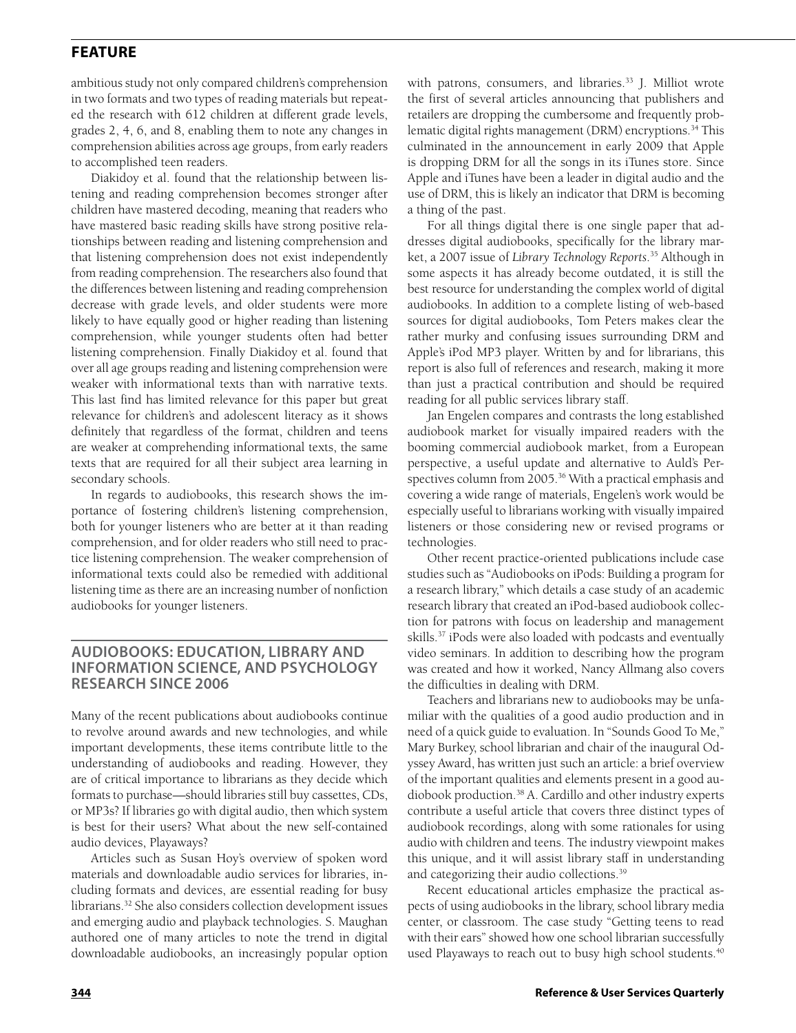ambitious study not only compared children's comprehension in two formats and two types of reading materials but repeated the research with 612 children at different grade levels, grades 2, 4, 6, and 8, enabling them to note any changes in comprehension abilities across age groups, from early readers to accomplished teen readers.

Diakidoy et al. found that the relationship between listening and reading comprehension becomes stronger after children have mastered decoding, meaning that readers who have mastered basic reading skills have strong positive relationships between reading and listening comprehension and that listening comprehension does not exist independently from reading comprehension. The researchers also found that the differences between listening and reading comprehension decrease with grade levels, and older students were more likely to have equally good or higher reading than listening comprehension, while younger students often had better listening comprehension. Finally Diakidoy et al. found that over all age groups reading and listening comprehension were weaker with informational texts than with narrative texts. This last find has limited relevance for this paper but great relevance for children's and adolescent literacy as it shows definitely that regardless of the format, children and teens are weaker at comprehending informational texts, the same texts that are required for all their subject area learning in secondary schools.

In regards to audiobooks, this research shows the importance of fostering children's listening comprehension, both for younger listeners who are better at it than reading comprehension, and for older readers who still need to practice listening comprehension. The weaker comprehension of informational texts could also be remedied with additional listening time as there are an increasing number of nonfiction audiobooks for younger listeners.

# **Audiobooks: Education, Library and Information Science, and Psychology Research Since 2006**

Many of the recent publications about audiobooks continue to revolve around awards and new technologies, and while important developments, these items contribute little to the understanding of audiobooks and reading. However, they are of critical importance to librarians as they decide which formats to purchase—should libraries still buy cassettes, CDs, or MP3s? If libraries go with digital audio, then which system is best for their users? What about the new self-contained audio devices, Playaways?

Articles such as Susan Hoy's overview of spoken word materials and downloadable audio services for libraries, including formats and devices, are essential reading for busy librarians.32 She also considers collection development issues and emerging audio and playback technologies. S. Maughan authored one of many articles to note the trend in digital downloadable audiobooks, an increasingly popular option

with patrons, consumers, and libraries.<sup>33</sup> J. Milliot wrote the first of several articles announcing that publishers and retailers are dropping the cumbersome and frequently problematic digital rights management (DRM) encryptions.<sup>34</sup> This culminated in the announcement in early 2009 that Apple is dropping DRM for all the songs in its iTunes store. Since Apple and iTunes have been a leader in digital audio and the use of DRM, this is likely an indicator that DRM is becoming a thing of the past.

For all things digital there is one single paper that addresses digital audiobooks, specifically for the library market, a 2007 issue of *Library Technology Reports*. 35 Although in some aspects it has already become outdated, it is still the best resource for understanding the complex world of digital audiobooks. In addition to a complete listing of web-based sources for digital audiobooks, Tom Peters makes clear the rather murky and confusing issues surrounding DRM and Apple's iPod MP3 player. Written by and for librarians, this report is also full of references and research, making it more than just a practical contribution and should be required reading for all public services library staff.

Jan Engelen compares and contrasts the long established audiobook market for visually impaired readers with the booming commercial audiobook market, from a European perspective, a useful update and alternative to Auld's Perspectives column from 2005.<sup>36</sup> With a practical emphasis and covering a wide range of materials, Engelen's work would be especially useful to librarians working with visually impaired listeners or those considering new or revised programs or technologies.

Other recent practice-oriented publications include case studies such as "Audiobooks on iPods: Building a program for a research library," which details a case study of an academic research library that created an iPod-based audiobook collection for patrons with focus on leadership and management skills.37 iPods were also loaded with podcasts and eventually video seminars. In addition to describing how the program was created and how it worked, Nancy Allmang also covers the difficulties in dealing with DRM.

Teachers and librarians new to audiobooks may be unfamiliar with the qualities of a good audio production and in need of a quick guide to evaluation. In "Sounds Good To Me," Mary Burkey, school librarian and chair of the inaugural Odyssey Award, has written just such an article: a brief overview of the important qualities and elements present in a good audiobook production.38 A. Cardillo and other industry experts contribute a useful article that covers three distinct types of audiobook recordings, along with some rationales for using audio with children and teens. The industry viewpoint makes this unique, and it will assist library staff in understanding and categorizing their audio collections.<sup>39</sup>

Recent educational articles emphasize the practical aspects of using audiobooks in the library, school library media center, or classroom. The case study "Getting teens to read with their ears" showed how one school librarian successfully used Playaways to reach out to busy high school students.<sup>40</sup>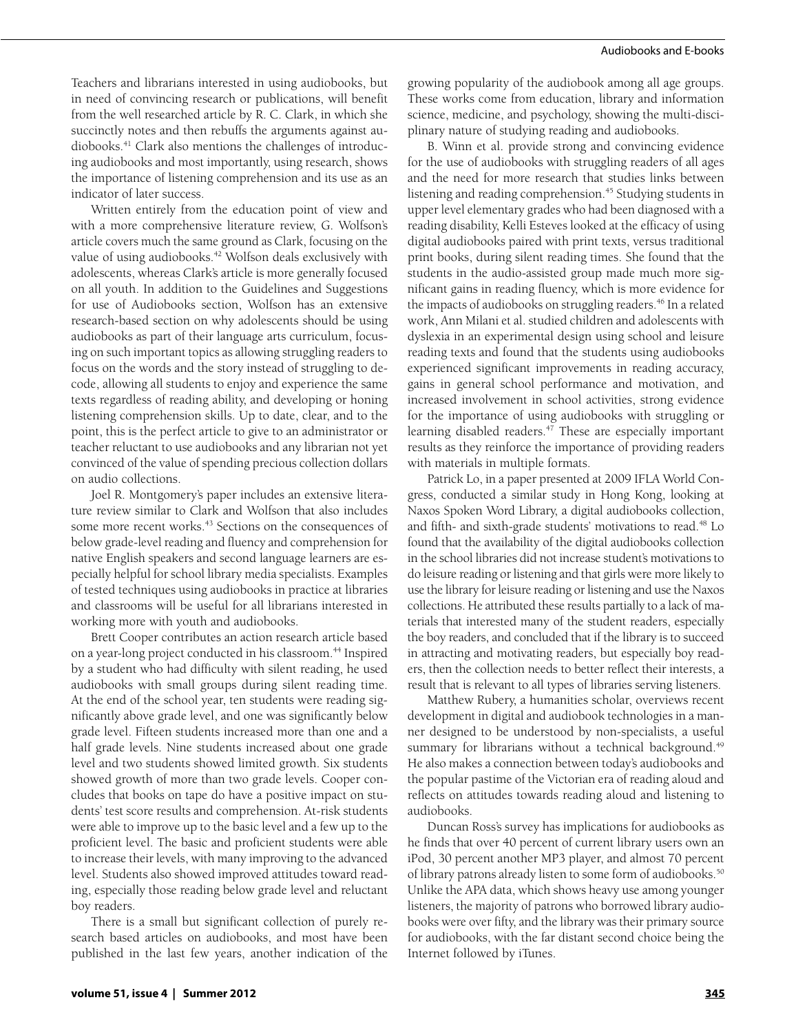Teachers and librarians interested in using audiobooks, but in need of convincing research or publications, will benefit from the well researched article by R. C. Clark, in which she succinctly notes and then rebuffs the arguments against audiobooks.41 Clark also mentions the challenges of introducing audiobooks and most importantly, using research, shows the importance of listening comprehension and its use as an indicator of later success.

Written entirely from the education point of view and with a more comprehensive literature review, G. Wolfson's article covers much the same ground as Clark, focusing on the value of using audiobooks.<sup>42</sup> Wolfson deals exclusively with adolescents, whereas Clark's article is more generally focused on all youth. In addition to the Guidelines and Suggestions for use of Audiobooks section, Wolfson has an extensive research-based section on why adolescents should be using audiobooks as part of their language arts curriculum, focusing on such important topics as allowing struggling readers to focus on the words and the story instead of struggling to decode, allowing all students to enjoy and experience the same texts regardless of reading ability, and developing or honing listening comprehension skills. Up to date, clear, and to the point, this is the perfect article to give to an administrator or teacher reluctant to use audiobooks and any librarian not yet convinced of the value of spending precious collection dollars on audio collections.

Joel R. Montgomery's paper includes an extensive literature review similar to Clark and Wolfson that also includes some more recent works.<sup>43</sup> Sections on the consequences of below grade-level reading and fluency and comprehension for native English speakers and second language learners are especially helpful for school library media specialists. Examples of tested techniques using audiobooks in practice at libraries and classrooms will be useful for all librarians interested in working more with youth and audiobooks.

Brett Cooper contributes an action research article based on a year-long project conducted in his classroom.<sup>44</sup> Inspired by a student who had difficulty with silent reading, he used audiobooks with small groups during silent reading time. At the end of the school year, ten students were reading significantly above grade level, and one was significantly below grade level. Fifteen students increased more than one and a half grade levels. Nine students increased about one grade level and two students showed limited growth. Six students showed growth of more than two grade levels. Cooper concludes that books on tape do have a positive impact on students' test score results and comprehension. At-risk students were able to improve up to the basic level and a few up to the proficient level. The basic and proficient students were able to increase their levels, with many improving to the advanced level. Students also showed improved attitudes toward reading, especially those reading below grade level and reluctant boy readers.

There is a small but significant collection of purely research based articles on audiobooks, and most have been published in the last few years, another indication of the growing popularity of the audiobook among all age groups. These works come from education, library and information science, medicine, and psychology, showing the multi-disciplinary nature of studying reading and audiobooks.

B. Winn et al. provide strong and convincing evidence for the use of audiobooks with struggling readers of all ages and the need for more research that studies links between listening and reading comprehension.<sup>45</sup> Studying students in upper level elementary grades who had been diagnosed with a reading disability, Kelli Esteves looked at the efficacy of using digital audiobooks paired with print texts, versus traditional print books, during silent reading times. She found that the students in the audio-assisted group made much more significant gains in reading fluency, which is more evidence for the impacts of audiobooks on struggling readers.<sup>46</sup> In a related work, Ann Milani et al. studied children and adolescents with dyslexia in an experimental design using school and leisure reading texts and found that the students using audiobooks experienced significant improvements in reading accuracy, gains in general school performance and motivation, and increased involvement in school activities, strong evidence for the importance of using audiobooks with struggling or learning disabled readers.<sup>47</sup> These are especially important results as they reinforce the importance of providing readers with materials in multiple formats.

Patrick Lo, in a paper presented at 2009 IFLA World Congress, conducted a similar study in Hong Kong, looking at Naxos Spoken Word Library, a digital audiobooks collection, and fifth- and sixth-grade students' motivations to read.<sup>48</sup> Lo found that the availability of the digital audiobooks collection in the school libraries did not increase student's motivations to do leisure reading or listening and that girls were more likely to use the library for leisure reading or listening and use the Naxos collections. He attributed these results partially to a lack of materials that interested many of the student readers, especially the boy readers, and concluded that if the library is to succeed in attracting and motivating readers, but especially boy readers, then the collection needs to better reflect their interests, a result that is relevant to all types of libraries serving listeners.

Matthew Rubery, a humanities scholar, overviews recent development in digital and audiobook technologies in a manner designed to be understood by non-specialists, a useful summary for librarians without a technical background.<sup>49</sup> He also makes a connection between today's audiobooks and the popular pastime of the Victorian era of reading aloud and reflects on attitudes towards reading aloud and listening to audiobooks.

Duncan Ross's survey has implications for audiobooks as he finds that over 40 percent of current library users own an iPod, 30 percent another MP3 player, and almost 70 percent of library patrons already listen to some form of audiobooks.<sup>50</sup> Unlike the APA data, which shows heavy use among younger listeners, the majority of patrons who borrowed library audiobooks were over fifty, and the library was their primary source for audiobooks, with the far distant second choice being the Internet followed by iTunes.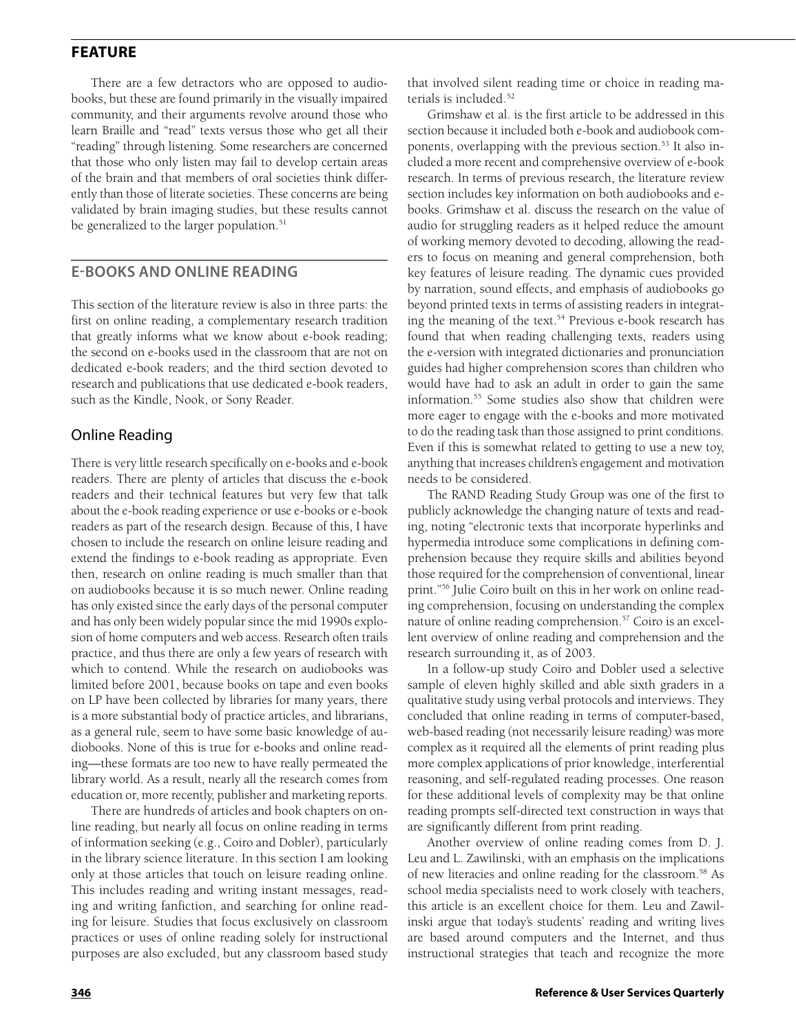There are a few detractors who are opposed to audiobooks, but these are found primarily in the visually impaired community, and their arguments revolve around those who learn Braille and "read" texts versus those who get all their "reading" through listening. Some researchers are concerned that those who only listen may fail to develop certain areas of the brain and that members of oral societies think differently than those of literate societies. These concerns are being validated by brain imaging studies, but these results cannot be generalized to the larger population.<sup>51</sup>

# **E-books and Online Reading**

This section of the literature review is also in three parts: the first on online reading, a complementary research tradition that greatly informs what we know about e-book reading; the second on e-books used in the classroom that are not on dedicated e-book readers; and the third section devoted to research and publications that use dedicated e-book readers, such as the Kindle, Nook, or Sony Reader.

### Online Reading

There is very little research specifically on e-books and e-book readers. There are plenty of articles that discuss the e-book readers and their technical features but very few that talk about the e-book reading experience or use e-books or e-book readers as part of the research design. Because of this, I have chosen to include the research on online leisure reading and extend the findings to e-book reading as appropriate. Even then, research on online reading is much smaller than that on audiobooks because it is so much newer. Online reading has only existed since the early days of the personal computer and has only been widely popular since the mid 1990s explosion of home computers and web access. Research often trails practice, and thus there are only a few years of research with which to contend. While the research on audiobooks was limited before 2001, because books on tape and even books on LP have been collected by libraries for many years, there is a more substantial body of practice articles, and librarians, as a general rule, seem to have some basic knowledge of audiobooks. None of this is true for e-books and online reading—these formats are too new to have really permeated the library world. As a result, nearly all the research comes from education or, more recently, publisher and marketing reports.

There are hundreds of articles and book chapters on online reading, but nearly all focus on online reading in terms of information seeking (e.g., Coiro and Dobler), particularly in the library science literature. In this section I am looking only at those articles that touch on leisure reading online. This includes reading and writing instant messages, reading and writing fanfiction, and searching for online reading for leisure. Studies that focus exclusively on classroom practices or uses of online reading solely for instructional purposes are also excluded, but any classroom based study

that involved silent reading time or choice in reading materials is included.<sup>52</sup>

Grimshaw et al. is the first article to be addressed in this section because it included both e-book and audiobook components, overlapping with the previous section.<sup>53</sup> It also included a more recent and comprehensive overview of e-book research. In terms of previous research, the literature review section includes key information on both audiobooks and ebooks. Grimshaw et al. discuss the research on the value of audio for struggling readers as it helped reduce the amount of working memory devoted to decoding, allowing the readers to focus on meaning and general comprehension, both key features of leisure reading. The dynamic cues provided by narration, sound effects, and emphasis of audiobooks go beyond printed texts in terms of assisting readers in integrating the meaning of the text.<sup>54</sup> Previous e-book research has found that when reading challenging texts, readers using the e-version with integrated dictionaries and pronunciation guides had higher comprehension scores than children who would have had to ask an adult in order to gain the same information.55 Some studies also show that children were more eager to engage with the e-books and more motivated to do the reading task than those assigned to print conditions. Even if this is somewhat related to getting to use a new toy, anything that increases children's engagement and motivation needs to be considered.

The RAND Reading Study Group was one of the first to publicly acknowledge the changing nature of texts and reading, noting "electronic texts that incorporate hyperlinks and hypermedia introduce some complications in defining comprehension because they require skills and abilities beyond those required for the comprehension of conventional, linear print."56 Julie Coiro built on this in her work on online reading comprehension, focusing on understanding the complex nature of online reading comprehension.<sup>57</sup> Coiro is an excellent overview of online reading and comprehension and the research surrounding it, as of 2003.

In a follow-up study Coiro and Dobler used a selective sample of eleven highly skilled and able sixth graders in a qualitative study using verbal protocols and interviews. They concluded that online reading in terms of computer-based, web-based reading (not necessarily leisure reading) was more complex as it required all the elements of print reading plus more complex applications of prior knowledge, interferential reasoning, and self-regulated reading processes. One reason for these additional levels of complexity may be that online reading prompts self-directed text construction in ways that are significantly different from print reading.

Another overview of online reading comes from D. J. Leu and L. Zawilinski, with an emphasis on the implications of new literacies and online reading for the classroom.58 As school media specialists need to work closely with teachers, this article is an excellent choice for them. Leu and Zawilinski argue that today's students' reading and writing lives are based around computers and the Internet, and thus instructional strategies that teach and recognize the more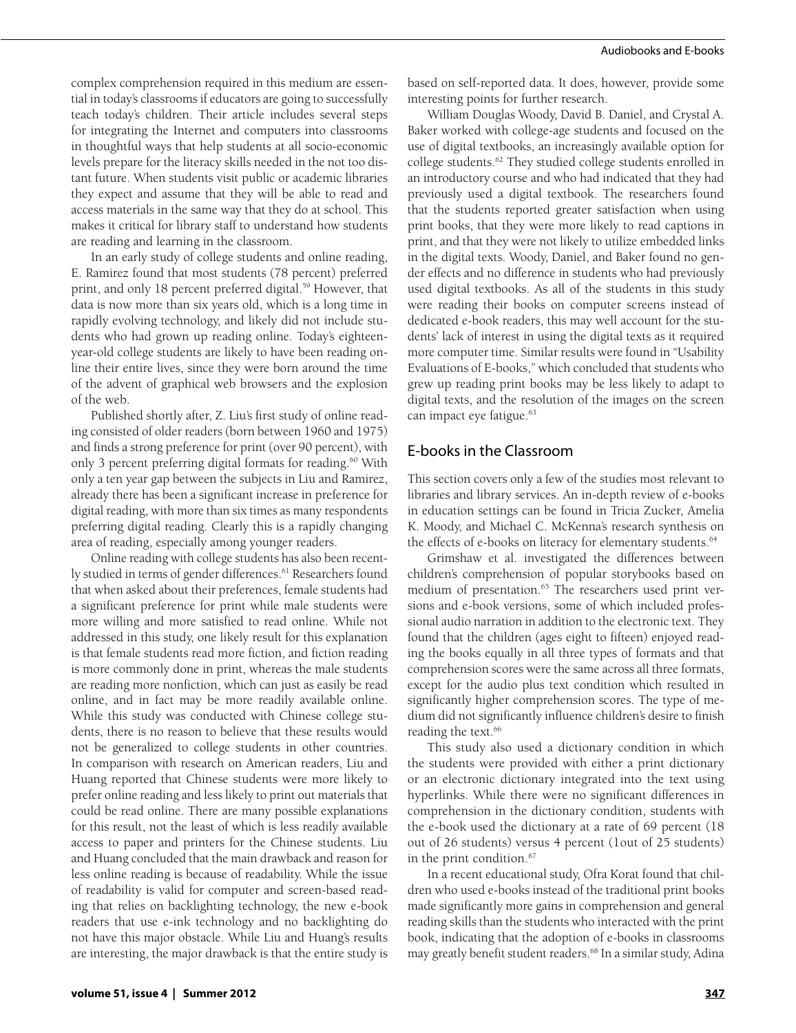complex comprehension required in this medium are essential in today's classrooms if educators are going to successfully teach today's children. Their article includes several steps for integrating the Internet and computers into classrooms in thoughtful ways that help students at all socio-economic levels prepare for the literacy skills needed in the not too distant future. When students visit public or academic libraries they expect and assume that they will be able to read and access materials in the same way that they do at school. This makes it critical for library staff to understand how students are reading and learning in the classroom.

In an early study of college students and online reading, E. Ramirez found that most students (78 percent) preferred print, and only 18 percent preferred digital.<sup>59</sup> However, that data is now more than six years old, which is a long time in rapidly evolving technology, and likely did not include students who had grown up reading online. Today's eighteenyear-old college students are likely to have been reading online their entire lives, since they were born around the time of the advent of graphical web browsers and the explosion of the web.

Published shortly after, Z. Liu's first study of online reading consisted of older readers (born between 1960 and 1975) and finds a strong preference for print (over 90 percent), with only 3 percent preferring digital formats for reading.<sup>60</sup> With only a ten year gap between the subjects in Liu and Ramirez, already there has been a significant increase in preference for digital reading, with more than six times as many respondents preferring digital reading. Clearly this is a rapidly changing area of reading, especially among younger readers.

Online reading with college students has also been recently studied in terms of gender differences.<sup>61</sup> Researchers found that when asked about their preferences, female students had a significant preference for print while male students were more willing and more satisfied to read online. While not addressed in this study, one likely result for this explanation is that female students read more fiction, and fiction reading is more commonly done in print, whereas the male students are reading more nonfiction, which can just as easily be read online, and in fact may be more readily available online. While this study was conducted with Chinese college students, there is no reason to believe that these results would not be generalized to college students in other countries. In comparison with research on American readers, Liu and Huang reported that Chinese students were more likely to prefer online reading and less likely to print out materials that could be read online. There are many possible explanations for this result, not the least of which is less readily available access to paper and printers for the Chinese students. Liu and Huang concluded that the main drawback and reason for less online reading is because of readability. While the issue of readability is valid for computer and screen-based reading that relies on backlighting technology, the new e-book readers that use e-ink technology and no backlighting do not have this major obstacle. While Liu and Huang's results are interesting, the major drawback is that the entire study is based on self-reported data. It does, however, provide some interesting points for further research.

William Douglas Woody, David B. Daniel, and Crystal A. Baker worked with college-age students and focused on the use of digital textbooks, an increasingly available option for college students.62 They studied college students enrolled in an introductory course and who had indicated that they had previously used a digital textbook. The researchers found that the students reported greater satisfaction when using print books, that they were more likely to read captions in print, and that they were not likely to utilize embedded links in the digital texts. Woody, Daniel, and Baker found no gender effects and no difference in students who had previously used digital textbooks. As all of the students in this study were reading their books on computer screens instead of dedicated e-book readers, this may well account for the students' lack of interest in using the digital texts as it required more computer time. Similar results were found in "Usability Evaluations of E-books," which concluded that students who grew up reading print books may be less likely to adapt to digital texts, and the resolution of the images on the screen can impact eye fatigue.<sup>63</sup>

### E-books in the Classroom

This section covers only a few of the studies most relevant to libraries and library services. An in-depth review of e-books in education settings can be found in Tricia Zucker, Amelia K. Moody, and Michael C. McKenna's research synthesis on the effects of e-books on literacy for elementary students.<sup>64</sup>

Grimshaw et al. investigated the differences between children's comprehension of popular storybooks based on medium of presentation.<sup>65</sup> The researchers used print versions and e-book versions, some of which included professional audio narration in addition to the electronic text. They found that the children (ages eight to fifteen) enjoyed reading the books equally in all three types of formats and that comprehension scores were the same across all three formats, except for the audio plus text condition which resulted in significantly higher comprehension scores. The type of medium did not significantly influence children's desire to finish reading the text.<sup>66</sup>

This study also used a dictionary condition in which the students were provided with either a print dictionary or an electronic dictionary integrated into the text using hyperlinks. While there were no significant differences in comprehension in the dictionary condition, students with the e-book used the dictionary at a rate of 69 percent (18 out of 26 students) versus 4 percent (1out of 25 students) in the print condition.67

In a recent educational study, Ofra Korat found that children who used e-books instead of the traditional print books made significantly more gains in comprehension and general reading skills than the students who interacted with the print book, indicating that the adoption of e-books in classrooms may greatly benefit student readers.<sup>68</sup> In a similar study, Adina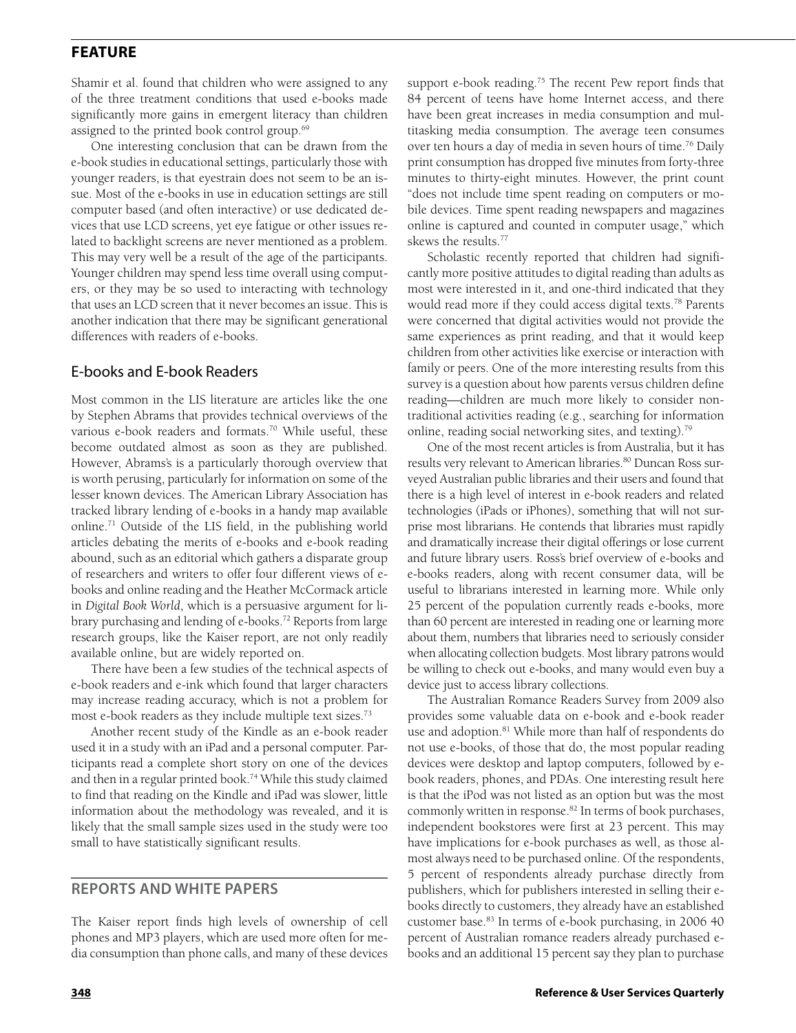Shamir et al. found that children who were assigned to any of the three treatment conditions that used e-books made significantly more gains in emergent literacy than children assigned to the printed book control group.<sup>69</sup>

One interesting conclusion that can be drawn from the e-book studies in educational settings, particularly those with younger readers, is that eyestrain does not seem to be an issue. Most of the e-books in use in education settings are still computer based (and often interactive) or use dedicated devices that use LCD screens, yet eye fatigue or other issues related to backlight screens are never mentioned as a problem. This may very well be a result of the age of the participants. Younger children may spend less time overall using computers, or they may be so used to interacting with technology that uses an LCD screen that it never becomes an issue. This is another indication that there may be significant generational differences with readers of e-books.

# E-books and E-book Readers

Most common in the LIS literature are articles like the one by Stephen Abrams that provides technical overviews of the various e-book readers and formats.<sup>70</sup> While useful, these become outdated almost as soon as they are published. However, Abrams's is a particularly thorough overview that is worth perusing, particularly for information on some of the lesser known devices. The American Library Association has tracked library lending of e-books in a handy map available online.71 Outside of the LIS field, in the publishing world articles debating the merits of e-books and e-book reading abound, such as an editorial which gathers a disparate group of researchers and writers to offer four different views of ebooks and online reading and the Heather McCormack article in *Digital Book World*, which is a persuasive argument for library purchasing and lending of e-books.<sup>72</sup> Reports from large research groups, like the Kaiser report, are not only readily available online, but are widely reported on.

There have been a few studies of the technical aspects of e-book readers and e-ink which found that larger characters may increase reading accuracy, which is not a problem for most e-book readers as they include multiple text sizes.73

Another recent study of the Kindle as an e-book reader used it in a study with an iPad and a personal computer. Participants read a complete short story on one of the devices and then in a regular printed book.<sup>74</sup> While this study claimed to find that reading on the Kindle and iPad was slower, little information about the methodology was revealed, and it is likely that the small sample sizes used in the study were too small to have statistically significant results.

# **Reports and White Papers**

The Kaiser report finds high levels of ownership of cell phones and MP3 players, which are used more often for media consumption than phone calls, and many of these devices

support e-book reading.<sup>75</sup> The recent Pew report finds that 84 percent of teens have home Internet access, and there have been great increases in media consumption and multitasking media consumption. The average teen consumes over ten hours a day of media in seven hours of time.76 Daily print consumption has dropped five minutes from forty-three minutes to thirty-eight minutes. However, the print count "does not include time spent reading on computers or mobile devices. Time spent reading newspapers and magazines online is captured and counted in computer usage," which skews the results.77

Scholastic recently reported that children had significantly more positive attitudes to digital reading than adults as most were interested in it, and one-third indicated that they would read more if they could access digital texts.<sup>78</sup> Parents were concerned that digital activities would not provide the same experiences as print reading, and that it would keep children from other activities like exercise or interaction with family or peers. One of the more interesting results from this survey is a question about how parents versus children define reading—children are much more likely to consider nontraditional activities reading (e.g., searching for information online, reading social networking sites, and texting).79

One of the most recent articles is from Australia, but it has results very relevant to American libraries.<sup>80</sup> Duncan Ross surveyed Australian public libraries and their users and found that there is a high level of interest in e-book readers and related technologies (iPads or iPhones), something that will not surprise most librarians. He contends that libraries must rapidly and dramatically increase their digital offerings or lose current and future library users. Ross's brief overview of e-books and e-books readers, along with recent consumer data, will be useful to librarians interested in learning more. While only 25 percent of the population currently reads e-books, more than 60 percent are interested in reading one or learning more about them, numbers that libraries need to seriously consider when allocating collection budgets. Most library patrons would be willing to check out e-books, and many would even buy a device just to access library collections.

The Australian Romance Readers Survey from 2009 also provides some valuable data on e-book and e-book reader use and adoption.<sup>81</sup> While more than half of respondents do not use e-books, of those that do, the most popular reading devices were desktop and laptop computers, followed by ebook readers, phones, and PDAs. One interesting result here is that the iPod was not listed as an option but was the most commonly written in response.<sup>82</sup> In terms of book purchases, independent bookstores were first at 23 percent. This may have implications for e-book purchases as well, as those almost always need to be purchased online. Of the respondents, 5 percent of respondents already purchase directly from publishers, which for publishers interested in selling their ebooks directly to customers, they already have an established customer base.83 In terms of e-book purchasing, in 2006 40 percent of Australian romance readers already purchased ebooks and an additional 15 percent say they plan to purchase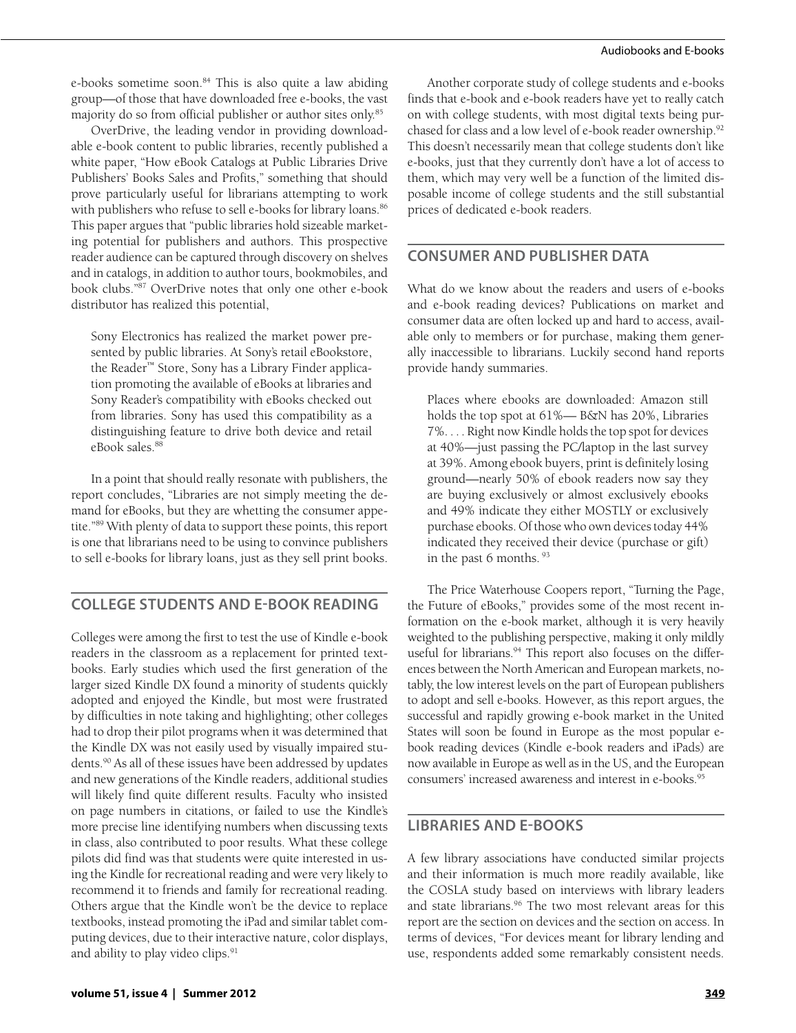e-books sometime soon.<sup>84</sup> This is also quite a law abiding group—of those that have downloaded free e-books, the vast majority do so from official publisher or author sites only.<sup>85</sup>

OverDrive, the leading vendor in providing downloadable e-book content to public libraries, recently published a white paper, "How eBook Catalogs at Public Libraries Drive Publishers' Books Sales and Profits," something that should prove particularly useful for librarians attempting to work with publishers who refuse to sell e-books for library loans.<sup>86</sup> This paper argues that "public libraries hold sizeable marketing potential for publishers and authors. This prospective reader audience can be captured through discovery on shelves and in catalogs, in addition to author tours, bookmobiles, and book clubs."87 OverDrive notes that only one other e-book distributor has realized this potential,

Sony Electronics has realized the market power presented by public libraries. At Sony's retail eBookstore, the Reader™ Store, Sony has a Library Finder application promoting the available of eBooks at libraries and Sony Reader's compatibility with eBooks checked out from libraries. Sony has used this compatibility as a distinguishing feature to drive both device and retail eBook sales.88

In a point that should really resonate with publishers, the report concludes, "Libraries are not simply meeting the demand for eBooks, but they are whetting the consumer appetite."89 With plenty of data to support these points, this report is one that librarians need to be using to convince publishers to sell e-books for library loans, just as they sell print books.

# **College Students and E-book Reading**

Colleges were among the first to test the use of Kindle e-book readers in the classroom as a replacement for printed textbooks. Early studies which used the first generation of the larger sized Kindle DX found a minority of students quickly adopted and enjoyed the Kindle, but most were frustrated by difficulties in note taking and highlighting; other colleges had to drop their pilot programs when it was determined that the Kindle DX was not easily used by visually impaired students.90 As all of these issues have been addressed by updates and new generations of the Kindle readers, additional studies will likely find quite different results. Faculty who insisted on page numbers in citations, or failed to use the Kindle's more precise line identifying numbers when discussing texts in class, also contributed to poor results. What these college pilots did find was that students were quite interested in using the Kindle for recreational reading and were very likely to recommend it to friends and family for recreational reading. Others argue that the Kindle won't be the device to replace textbooks, instead promoting the iPad and similar tablet computing devices, due to their interactive nature, color displays, and ability to play video clips.<sup>91</sup>

**volume 51, issue 4 | Summer 2012 349**

Another corporate study of college students and e-books finds that e-book and e-book readers have yet to really catch on with college students, with most digital texts being purchased for class and a low level of e-book reader ownership.<sup>92</sup> This doesn't necessarily mean that college students don't like e-books, just that they currently don't have a lot of access to them, which may very well be a function of the limited disposable income of college students and the still substantial prices of dedicated e-book readers.

# **Consumer and Publisher Data**

What do we know about the readers and users of e-books and e-book reading devices? Publications on market and consumer data are often locked up and hard to access, available only to members or for purchase, making them generally inaccessible to librarians. Luckily second hand reports provide handy summaries.

Places where ebooks are downloaded: Amazon still holds the top spot at 61%— B&N has 20%, Libraries 7%. . . . Right now Kindle holds the top spot for devices at 40%—just passing the PC/laptop in the last survey at 39%. Among ebook buyers, print is definitely losing ground—nearly 50% of ebook readers now say they are buying exclusively or almost exclusively ebooks and 49% indicate they either MOSTLY or exclusively purchase ebooks. Of those who own devices today 44% indicated they received their device (purchase or gift) in the past 6 months. 93

The Price Waterhouse Coopers report, "Turning the Page, the Future of eBooks," provides some of the most recent information on the e-book market, although it is very heavily weighted to the publishing perspective, making it only mildly useful for librarians.<sup>94</sup> This report also focuses on the differences between the North American and European markets, notably, the low interest levels on the part of European publishers to adopt and sell e-books. However, as this report argues, the successful and rapidly growing e-book market in the United States will soon be found in Europe as the most popular ebook reading devices (Kindle e-book readers and iPads) are now available in Europe as well as in the US, and the European consumers' increased awareness and interest in e-books.<sup>95</sup>

# **Libraries and E-books**

A few library associations have conducted similar projects and their information is much more readily available, like the COSLA study based on interviews with library leaders and state librarians.<sup>96</sup> The two most relevant areas for this report are the section on devices and the section on access. In terms of devices, "For devices meant for library lending and use, respondents added some remarkably consistent needs.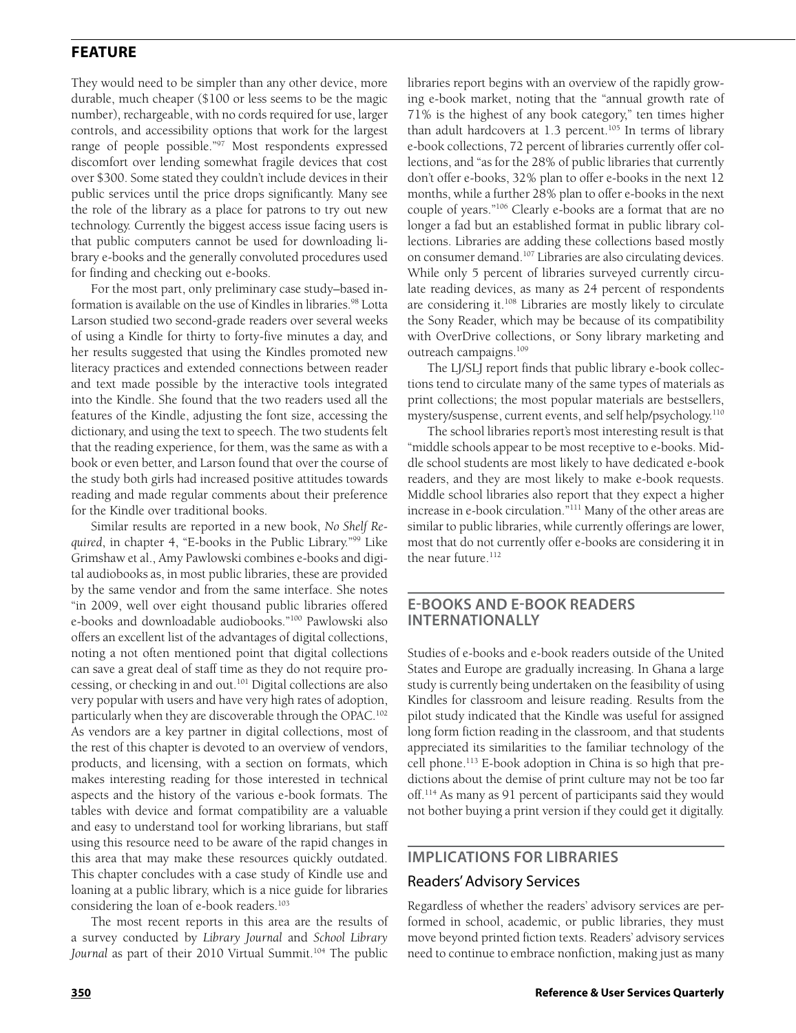They would need to be simpler than any other device, more durable, much cheaper (\$100 or less seems to be the magic number), rechargeable, with no cords required for use, larger controls, and accessibility options that work for the largest range of people possible."97 Most respondents expressed discomfort over lending somewhat fragile devices that cost over \$300. Some stated they couldn't include devices in their public services until the price drops significantly. Many see the role of the library as a place for patrons to try out new technology. Currently the biggest access issue facing users is that public computers cannot be used for downloading library e-books and the generally convoluted procedures used for finding and checking out e-books.

For the most part, only preliminary case study–based information is available on the use of Kindles in libraries.<sup>98</sup> Lotta Larson studied two second-grade readers over several weeks of using a Kindle for thirty to forty-five minutes a day, and her results suggested that using the Kindles promoted new literacy practices and extended connections between reader and text made possible by the interactive tools integrated into the Kindle. She found that the two readers used all the features of the Kindle, adjusting the font size, accessing the dictionary, and using the text to speech. The two students felt that the reading experience, for them, was the same as with a book or even better, and Larson found that over the course of the study both girls had increased positive attitudes towards reading and made regular comments about their preference for the Kindle over traditional books.

Similar results are reported in a new book, *No Shelf Required*, in chapter 4, "E-books in the Public Library."99 Like Grimshaw et al., Amy Pawlowski combines e-books and digital audiobooks as, in most public libraries, these are provided by the same vendor and from the same interface. She notes "in 2009, well over eight thousand public libraries offered e-books and downloadable audiobooks."100 Pawlowski also offers an excellent list of the advantages of digital collections, noting a not often mentioned point that digital collections can save a great deal of staff time as they do not require processing, or checking in and out.<sup>101</sup> Digital collections are also very popular with users and have very high rates of adoption, particularly when they are discoverable through the OPAC.<sup>102</sup> As vendors are a key partner in digital collections, most of the rest of this chapter is devoted to an overview of vendors, products, and licensing, with a section on formats, which makes interesting reading for those interested in technical aspects and the history of the various e-book formats. The tables with device and format compatibility are a valuable and easy to understand tool for working librarians, but staff using this resource need to be aware of the rapid changes in this area that may make these resources quickly outdated. This chapter concludes with a case study of Kindle use and loaning at a public library, which is a nice guide for libraries considering the loan of e-book readers.<sup>103</sup>

The most recent reports in this area are the results of a survey conducted by *Library Journal* and *School Library*  Journal as part of their 2010 Virtual Summit.<sup>104</sup> The public

libraries report begins with an overview of the rapidly growing e-book market, noting that the "annual growth rate of 71% is the highest of any book category," ten times higher than adult hardcovers at  $1.3$  percent.<sup>105</sup> In terms of library e-book collections, 72 percent of libraries currently offer collections, and "as for the 28% of public libraries that currently don't offer e-books, 32% plan to offer e-books in the next 12 months, while a further 28% plan to offer e-books in the next couple of years."106 Clearly e-books are a format that are no longer a fad but an established format in public library collections. Libraries are adding these collections based mostly on consumer demand.<sup>107</sup> Libraries are also circulating devices. While only 5 percent of libraries surveyed currently circulate reading devices, as many as 24 percent of respondents are considering it.<sup>108</sup> Libraries are mostly likely to circulate the Sony Reader, which may be because of its compatibility with OverDrive collections, or Sony library marketing and outreach campaigns.109

The LJ/SLJ report finds that public library e-book collections tend to circulate many of the same types of materials as print collections; the most popular materials are bestsellers, mystery/suspense, current events, and self help/psychology.110

The school libraries report's most interesting result is that "middle schools appear to be most receptive to e-books. Middle school students are most likely to have dedicated e-book readers, and they are most likely to make e-book requests. Middle school libraries also report that they expect a higher increase in e-book circulation."111 Many of the other areas are similar to public libraries, while currently offerings are lower, most that do not currently offer e-books are considering it in the near future.<sup>112</sup>

### **E-books and E-book Readers Internationally**

Studies of e-books and e-book readers outside of the United States and Europe are gradually increasing. In Ghana a large study is currently being undertaken on the feasibility of using Kindles for classroom and leisure reading. Results from the pilot study indicated that the Kindle was useful for assigned long form fiction reading in the classroom, and that students appreciated its similarities to the familiar technology of the cell phone.113 E-book adoption in China is so high that predictions about the demise of print culture may not be too far off.114 As many as 91 percent of participants said they would not bother buying a print version if they could get it digitally.

#### **Implications For Libraries**

#### Readers' Advisory Services

Regardless of whether the readers' advisory services are performed in school, academic, or public libraries, they must move beyond printed fiction texts. Readers' advisory services need to continue to embrace nonfiction, making just as many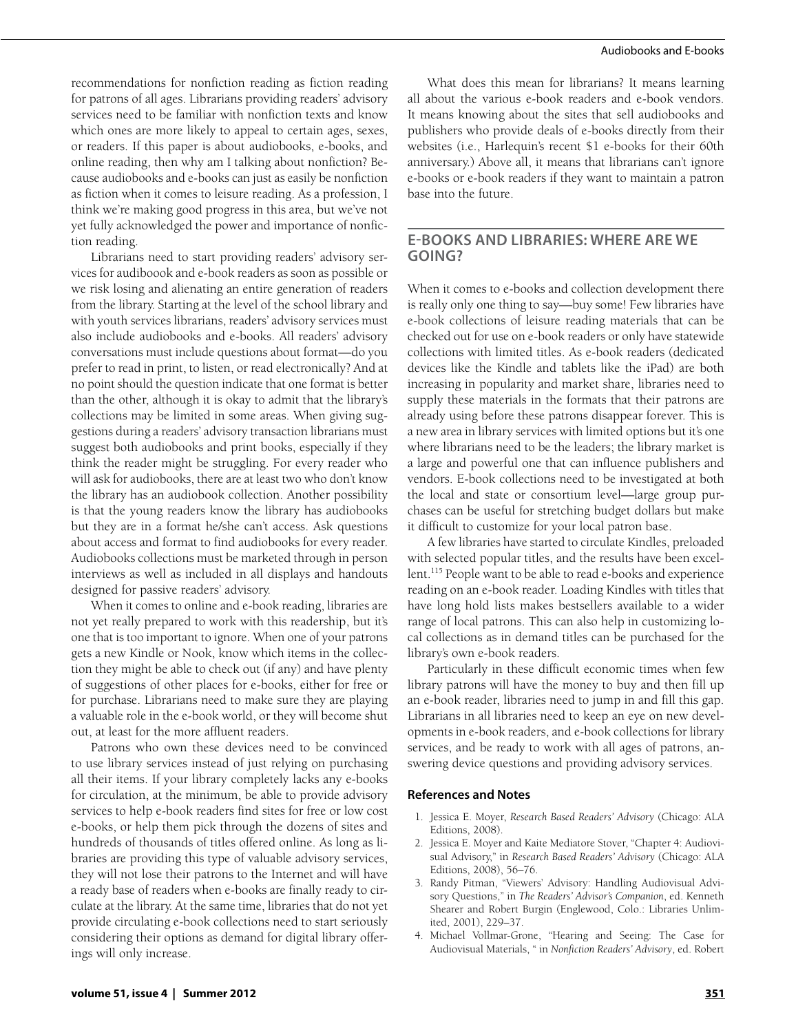recommendations for nonfiction reading as fiction reading for patrons of all ages. Librarians providing readers' advisory services need to be familiar with nonfiction texts and know which ones are more likely to appeal to certain ages, sexes, or readers. If this paper is about audiobooks, e-books, and online reading, then why am I talking about nonfiction? Because audiobooks and e-books can just as easily be nonfiction as fiction when it comes to leisure reading. As a profession, I think we're making good progress in this area, but we've not yet fully acknowledged the power and importance of nonfiction reading.

Librarians need to start providing readers' advisory services for audiboook and e-book readers as soon as possible or we risk losing and alienating an entire generation of readers from the library. Starting at the level of the school library and with youth services librarians, readers' advisory services must also include audiobooks and e-books. All readers' advisory conversations must include questions about format—do you prefer to read in print, to listen, or read electronically? And at no point should the question indicate that one format is better than the other, although it is okay to admit that the library's collections may be limited in some areas. When giving suggestions during a readers' advisory transaction librarians must suggest both audiobooks and print books, especially if they think the reader might be struggling. For every reader who will ask for audiobooks, there are at least two who don't know the library has an audiobook collection. Another possibility is that the young readers know the library has audiobooks but they are in a format he/she can't access. Ask questions about access and format to find audiobooks for every reader. Audiobooks collections must be marketed through in person interviews as well as included in all displays and handouts designed for passive readers' advisory.

When it comes to online and e-book reading, libraries are not yet really prepared to work with this readership, but it's one that is too important to ignore. When one of your patrons gets a new Kindle or Nook, know which items in the collection they might be able to check out (if any) and have plenty of suggestions of other places for e-books, either for free or for purchase. Librarians need to make sure they are playing a valuable role in the e-book world, or they will become shut out, at least for the more affluent readers.

Patrons who own these devices need to be convinced to use library services instead of just relying on purchasing all their items. If your library completely lacks any e-books for circulation, at the minimum, be able to provide advisory services to help e-book readers find sites for free or low cost e-books, or help them pick through the dozens of sites and hundreds of thousands of titles offered online. As long as libraries are providing this type of valuable advisory services, they will not lose their patrons to the Internet and will have a ready base of readers when e-books are finally ready to circulate at the library. At the same time, libraries that do not yet provide circulating e-book collections need to start seriously considering their options as demand for digital library offerings will only increase.

What does this mean for librarians? It means learning all about the various e-book readers and e-book vendors. It means knowing about the sites that sell audiobooks and publishers who provide deals of e-books directly from their websites (i.e., Harlequin's recent \$1 e-books for their 60th anniversary.) Above all, it means that librarians can't ignore e-books or e-book readers if they want to maintain a patron base into the future.

# **E-Books and Libraries: Where are We Going?**

When it comes to e-books and collection development there is really only one thing to say—buy some! Few libraries have e-book collections of leisure reading materials that can be checked out for use on e-book readers or only have statewide collections with limited titles. As e-book readers (dedicated devices like the Kindle and tablets like the iPad) are both increasing in popularity and market share, libraries need to supply these materials in the formats that their patrons are already using before these patrons disappear forever. This is a new area in library services with limited options but it's one where librarians need to be the leaders; the library market is a large and powerful one that can influence publishers and vendors. E-book collections need to be investigated at both the local and state or consortium level—large group purchases can be useful for stretching budget dollars but make it difficult to customize for your local patron base.

A few libraries have started to circulate Kindles, preloaded with selected popular titles, and the results have been excellent.<sup>115</sup> People want to be able to read e-books and experience reading on an e-book reader. Loading Kindles with titles that have long hold lists makes bestsellers available to a wider range of local patrons. This can also help in customizing local collections as in demand titles can be purchased for the library's own e-book readers.

Particularly in these difficult economic times when few library patrons will have the money to buy and then fill up an e-book reader, libraries need to jump in and fill this gap. Librarians in all libraries need to keep an eye on new developments in e-book readers, and e-book collections for library services, and be ready to work with all ages of patrons, answering device questions and providing advisory services.

## **References and Notes**

- 1. Jessica E. Moyer, *Research Based Readers' Advisory* (Chicago: ALA Editions, 2008).
- 2. Jessica E. Moyer and Kaite Mediatore Stover, "Chapter 4: Audiovisual Advisory," in *Research Based Readers' Advisory* (Chicago: ALA Editions, 2008), 56–76.
- 3. Randy Pitman, "Viewers' Advisory: Handling Audiovisual Advisory Questions," in *The Readers' Advisor's Companion*, ed. Kenneth Shearer and Robert Burgin (Englewood, Colo.: Libraries Unlimited, 2001), 229–37.
- 4. Michael Vollmar-Grone, "Hearing and Seeing: The Case for Audiovisual Materials, " in *Nonfiction Readers' Advisory*, ed. Robert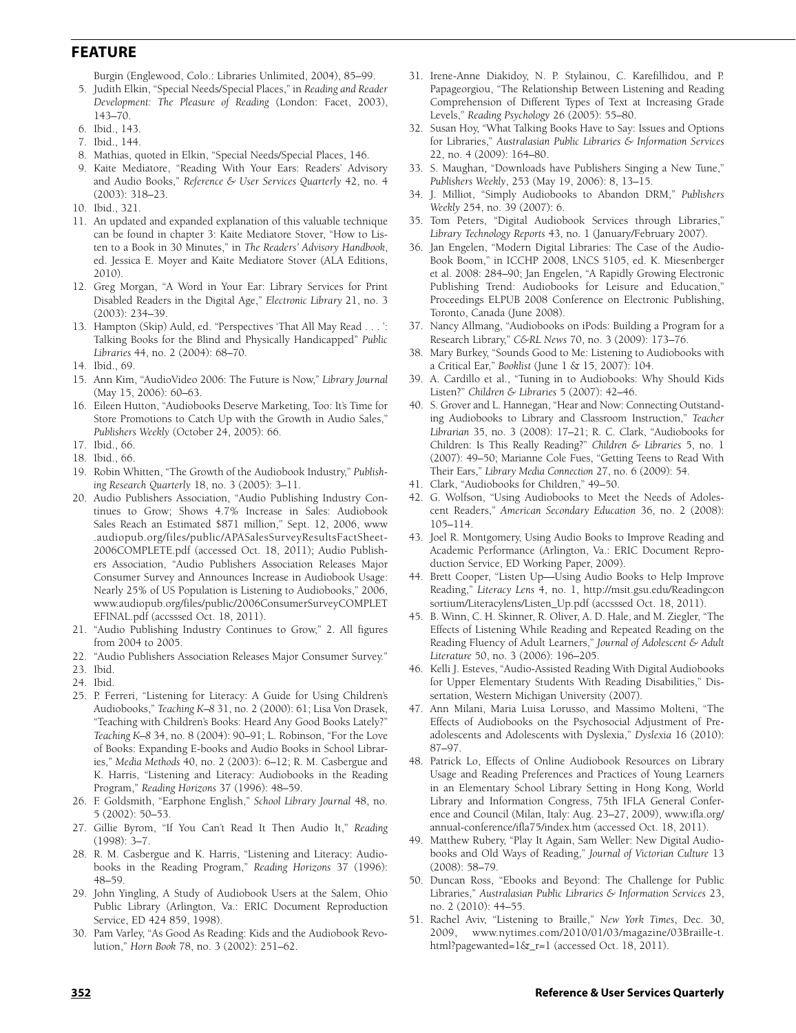Burgin (Englewood, Colo.: Libraries Unlimited, 2004), 85–99.

- 5. Judith Elkin, "Special Needs/Special Places," in *Reading and Reader Development: The Pleasure of Reading* (London: Facet, 2003), 143–70.
- 6. Ibid., 143.
- 7. Ibid., 144.
- 8. Mathias, quoted in Elkin, "Special Needs/Special Places, 146.
- 9. Kaite Mediatore, "Reading With Your Ears: Readers' Advisory and Audio Books," *Reference & User Services Quarterly* 42, no. 4 (2003): 318–23.
- 10. Ibid., 321.
- 11. An updated and expanded explanation of this valuable technique can be found in chapter 3: Kaite Mediatore Stover, "How to Listen to a Book in 30 Minutes," in *The Readers' Advisory Handbook*, ed. Jessica E. Moyer and Kaite Mediatore Stover (ALA Editions, 2010).
- 12. Greg Morgan, "A Word in Your Ear: Library Services for Print Disabled Readers in the Digital Age," *Electronic Library* 21, no. 3 (2003): 234–39.
- 13. Hampton (Skip) Auld, ed. "Perspectives 'That All May Read . . . ': Talking Books for the Blind and Physically Handicapped" *Public Libraries* 44, no. 2 (2004): 68–70.
- 14. Ibid., 69.
- 15. Ann Kim, "AudioVideo 2006: The Future is Now," *Library Journal* (May 15, 2006): 60–63.
- 16. Eileen Hutton, "Audiobooks Deserve Marketing, Too: It's Time for Store Promotions to Catch Up with the Growth in Audio Sales," *Publishers Weekly* (October 24, 2005): 66.
- 17. Ibid., 66.
- 18. Ibid., 66.
- 19. Robin Whitten, "The Growth of the Audiobook Industry," *Publishing Research Quarterly* 18, no. 3 (2005): 3–11.
- 20. Audio Publishers Association, "Audio Publishing Industry Continues to Grow; Shows 4.7% Increase in Sales: Audiobook Sales Reach an Estimated \$871 million," Sept. 12, 2006, www .audiopub.org/files/public/APASalesSurveyResultsFactSheet-2006COMPLETE.pdf (accessed Oct. 18, 2011); Audio Publishers Association, "Audio Publishers Association Releases Major Consumer Survey and Announces Increase in Audiobook Usage: Nearly 25% of US Population is Listening to Audiobooks," 2006, www.audiopub.org/files/public/2006ConsumerSurveyCOMPLET EFINAL.pdf (accsssed Oct. 18, 2011).
- 21. "Audio Publishing Industry Continues to Grow," 2. All figures from 2004 to 2005.
- 22. "Audio Publishers Association Releases Major Consumer Survey."
- 23. Ibid.
- 24. Ibid.
- 25. P. Ferreri, "Listening for Literacy: A Guide for Using Children's Audiobooks," *Teaching K–8* 31, no. 2 (2000): 61; Lisa Von Drasek, "Teaching with Children's Books: Heard Any Good Books Lately?" *Teaching K–8* 34, no. 8 (2004): 90–91; L. Robinson, "For the Love of Books: Expanding E-books and Audio Books in School Libraries," *Media Methods* 40, no. 2 (2003): 6–12; R. M. Casbergue and K. Harris, "Listening and Literacy: Audiobooks in the Reading Program," *Reading Horizons* 37 (1996): 48–59.
- 26. F. Goldsmith, "Earphone English," *School Library Journal* 48, no. 5 (2002): 50–53.
- 27. Gillie Byrom, "If You Can't Read It Then Audio It," *Reading* (1998): 3–7.
- 28. R. M. Casbergue and K. Harris, "Listening and Literacy: Audiobooks in the Reading Program," *Reading Horizons* 37 (1996): 48–59.
- 29. John Yingling, A Study of Audiobook Users at the Salem, Ohio Public Library (Arlington, Va.: ERIC Document Reproduction Service, ED 424 859, 1998).
- 30. Pam Varley, "As Good As Reading: Kids and the Audiobook Revolution," *Horn Book* 78, no. 3 (2002): 251–62.
- 31. Irene-Anne Diakidoy, N. P. Stylainou, C. Karefillidou, and P. Papageorgiou, "The Relationship Between Listening and Reading Comprehension of Different Types of Text at Increasing Grade Levels," *Reading Psychology* 26 (2005): 55–80.
- 32. Susan Hoy, "What Talking Books Have to Say: Issues and Options for Libraries," *Australasian Public Libraries & Information Services*  22, no. 4 (2009): 164–80.
- 33. S. Maughan, "Downloads have Publishers Singing a New Tune," *Publishers Weekly*, 253 (May 19, 2006): 8, 13–15.
- 34. J. Milliot, "Simply Audiobooks to Abandon DRM," *Publishers Weekly* 254, no. 39 (2007): 6.
- 35. Tom Peters, "Digital Audiobook Services through Libraries," *Library Technology Reports* 43, no. 1 (January/February 2007).
- 36. Jan Engelen, "Modern Digital Libraries: The Case of the Audio-Book Boom," in ICCHP 2008, LNCS 5105, ed. K. Miesenberger et al. 2008: 284–90; Jan Engelen, "A Rapidly Growing Electronic Publishing Trend: Audiobooks for Leisure and Education," Proceedings ELPUB 2008 Conference on Electronic Publishing, Toronto, Canada (June 2008).
- 37. Nancy Allmang, "Audiobooks on iPods: Building a Program for a Research Library," *C&RL News* 70, no. 3 (2009): 173–76.
- 38. Mary Burkey, "Sounds Good to Me: Listening to Audiobooks with a Critical Ear," *Booklist* (June 1 & 15, 2007): 104.
- 39. A. Cardillo et al., "Tuning in to Audiobooks: Why Should Kids Listen?" *Children & Libraries* 5 (2007): 42–46.
- 40. S. Grover and L. Hannegan, "Hear and Now: Connecting Outstanding Audiobooks to Library and Classroom Instruction," *Teacher Librarian* 35, no. 3 (2008): 17–21; R. C. Clark, "Audiobooks for Children: Is This Really Reading?" *Children & Libraries* 5, no. 1 (2007): 49–50; Marianne Cole Fues, "Getting Teens to Read With Their Ears," *Library Media Connection* 27, no. 6 (2009): 54.
- 41. Clark, "Audiobooks for Children," 49–50.
- 42. G. Wolfson, "Using Audiobooks to Meet the Needs of Adolescent Readers," *American Secondary Education* 36, no. 2 (2008): 105–114.
- 43. Joel R. Montgomery, Using Audio Books to Improve Reading and Academic Performance (Arlington, Va.: ERIC Document Reproduction Service, ED Working Paper, 2009).
- 44. Brett Cooper, "Listen Up—Using Audio Books to Help Improve Reading," *Literacy Lens* 4, no. 1, http://msit.gsu.edu/Readingcon sortium/Literacylens/Listen\_Up.pdf (accsssed Oct. 18, 2011).
- 45. B. Winn, C. H. Skinner, R. Oliver, A. D. Hale, and M. Ziegler, "The Effects of Listening While Reading and Repeated Reading on the Reading Fluency of Adult Learners," *Journal of Adolescent & Adult Literature* 50, no. 3 (2006): 196–205.
- 46. Kelli J. Esteves, "Audio-Assisted Reading With Digital Audiobooks for Upper Elementary Students With Reading Disabilities," Dissertation, Western Michigan University (2007).
- 47. Ann Milani, Maria Luisa Lorusso, and Massimo Molteni, "The Effects of Audiobooks on the Psychosocial Adjustment of Preadolescents and Adolescents with Dyslexia," *Dyslexia* 16 (2010): 87–97.
- 48. Patrick Lo, Effects of Online Audiobook Resources on Library Usage and Reading Preferences and Practices of Young Learners in an Elementary School Library Setting in Hong Kong, World Library and Information Congress, 75th IFLA General Conference and Council (Milan, Italy: Aug. 23–27, 2009), www.ifla.org/ annual-conference/ifla75/index.htm (accessed Oct. 18, 2011).
- 49. Matthew Rubery, "Play It Again, Sam Weller: New Digital Audiobooks and Old Ways of Reading," *Journal of Victorian Culture* 13 (2008): 58–79.
- 50. Duncan Ross, "Ebooks and Beyond: The Challenge for Public Libraries," *Australasian Public Libraries & Information Services* 23, no. 2 (2010): 44–55.
- 51. Rachel Aviv, "Listening to Braille," *New York Times*, Dec. 30, 2009, www.nytimes.com/2010/01/03/magazine/03Braille-t. html?pagewanted=1&\_r=1 (accessed Oct. 18, 2011).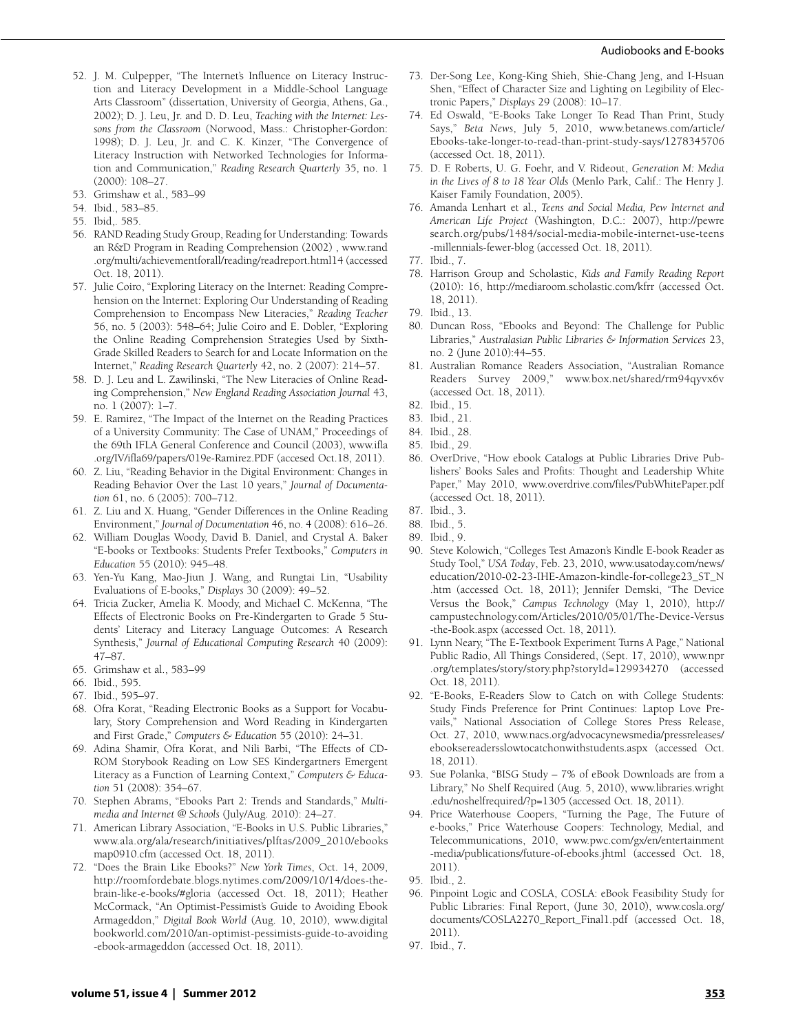#### Audiobooks and E-books

- 52. J. M. Culpepper, "The Internet's Influence on Literacy Instruction and Literacy Development in a Middle-School Language Arts Classroom" (dissertation, University of Georgia, Athens, Ga., 2002); D. J. Leu, Jr. and D. D. Leu, *Teaching with the Internet: Lessons from the Classroom* (Norwood, Mass.: Christopher-Gordon: 1998); D. J. Leu, Jr. and C. K. Kinzer, "The Convergence of Literacy Instruction with Networked Technologies for Information and Communication," *Reading Research Quarterly* 35, no. 1 (2000): 108–27.
- 53. Grimshaw et al., 583–99
- 54. Ibid., 583–85.
- 55. Ibid,. 585.
- 56. RAND Reading Study Group, Reading for Understanding: Towards an R&D Program in Reading Comprehension (2002) , www.rand .org/multi/achievementforall/reading/readreport.html14 (accessed Oct. 18, 2011).
- 57. Julie Coiro, "Exploring Literacy on the Internet: Reading Comprehension on the Internet: Exploring Our Understanding of Reading Comprehension to Encompass New Literacies," *Reading Teacher* 56, no. 5 (2003): 548–64; Julie Coiro and E. Dobler, "Exploring the Online Reading Comprehension Strategies Used by Sixth-Grade Skilled Readers to Search for and Locate Information on the Internet," *Reading Research Quarterly* 42, no. 2 (2007): 214–57.
- 58. D. J. Leu and L. Zawilinski, "The New Literacies of Online Reading Comprehension," *New England Reading Association Journal* 43, no. 1 (2007): 1–7.
- 59. E. Ramirez, "The Impact of the Internet on the Reading Practices of a University Community: The Case of UNAM," Proceedings of the 69th IFLA General Conference and Council (2003), www.ifla .org/IV/ifla69/papers/019e-Ramirez.PDF (accesed Oct.18, 2011).
- 60. Z. Liu, "Reading Behavior in the Digital Environment: Changes in Reading Behavior Over the Last 10 years," *Journal of Documentation* 61, no. 6 (2005): 700–712.
- 61. Z. Liu and X. Huang, "Gender Differences in the Online Reading Environment," *Journal of Documentation* 46, no. 4 (2008): 616–26.
- 62. William Douglas Woody, David B. Daniel, and Crystal A. Baker "E-books or Textbooks: Students Prefer Textbooks," *Computers in Education* 55 (2010): 945–48.
- 63. Yen-Yu Kang, Mao-Jiun J. Wang, and Rungtai Lin, "Usability Evaluations of E-books," *Displays* 30 (2009): 49–52.
- 64. Tricia Zucker, Amelia K. Moody, and Michael C. McKenna, "The Effects of Electronic Books on Pre-Kindergarten to Grade 5 Students' Literacy and Literacy Language Outcomes: A Research Synthesis," *Journal of Educational Computing Research* 40 (2009): 47–87.
- 65. Grimshaw et al., 583–99
- 66. Ibid., 595.
- 67. Ibid., 595–97.
- 68. Ofra Korat, "Reading Electronic Books as a Support for Vocabulary, Story Comprehension and Word Reading in Kindergarten and First Grade," *Computers & Education* 55 (2010): 24–31.
- 69. Adina Shamir, Ofra Korat, and Nili Barbi, "The Effects of CD-ROM Storybook Reading on Low SES Kindergartners Emergent Literacy as a Function of Learning Context," *Computers & Education* 51 (2008): 354–67.
- 70. Stephen Abrams, "Ebooks Part 2: Trends and Standards," *Multimedia and Internet @ Schools* (July/Aug. 2010): 24–27.
- 71. American Library Association, "E-Books in U.S. Public Libraries," www.ala.org/ala/research/initiatives/plftas/2009\_2010/ebooks map0910.cfm (accessed Oct. 18, 2011).
- 72. "Does the Brain Like Ebooks?" *New York Times*, Oct. 14, 2009, http://roomfordebate.blogs.nytimes.com/2009/10/14/does-thebrain-like-e-books/#gloria (accessed Oct. 18, 2011); Heather McCormack, "An Optimist-Pessimist's Guide to Avoiding Ebook Armageddon," *Digital Book World* (Aug. 10, 2010), www.digital bookworld.com/2010/an-optimist-pessimists-guide-to-avoiding -ebook-armageddon (accessed Oct. 18, 2011).
- 73. Der-Song Lee, Kong-King Shieh, Shie-Chang Jeng, and I-Hsuan Shen, "Effect of Character Size and Lighting on Legibility of Electronic Papers," *Displays* 29 (2008): 10–17.
- 74. Ed Oswald, "E-Books Take Longer To Read Than Print, Study Says," *Beta News*, July 5, 2010, www.betanews.com/article/ Ebooks-take-longer-to-read-than-print-study-says/1278345706 (accessed Oct. 18, 2011).
- 75. D. F. Roberts, U. G. Foehr, and V. Rideout, *Generation M: Media in the Lives of 8 to 18 Year Olds* (Menlo Park, Calif.: The Henry J. Kaiser Family Foundation, 2005).
- 76. Amanda Lenhart et al., *Teens and Social Media, Pew Internet and American Life Project* (Washington, D.C.: 2007), http://pewre search.org/pubs/1484/social-media-mobile-internet-use-teens -millennials-fewer-blog (accessed Oct. 18, 2011).
- 77. Ibid., 7.
- 78. Harrison Group and Scholastic, *Kids and Family Reading Report* (2010): 16, http://mediaroom.scholastic.com/kfrr (accessed Oct. 18, 2011).
- 79. Ibid., 13.
- 80. Duncan Ross, "Ebooks and Beyond: The Challenge for Public Libraries," *Australasian Public Libraries & Information Services* 23, no. 2 (June 2010):44–55.
- 81. Australian Romance Readers Association, "Australian Romance Readers Survey 2009," www.box.net/shared/rm94qyvx6v (accessed Oct. 18, 2011).
- 82. Ibid., 15.
- 83. Ibid., 21.
- 84. Ibid., 28.
- 85. Ibid., 29.
- 86. OverDrive, "How ebook Catalogs at Public Libraries Drive Publishers' Books Sales and Profits: Thought and Leadership White Paper," May 2010, www.overdrive.com/files/PubWhitePaper.pdf (accessed Oct. 18, 2011).
- 87. Ibid., 3.
- 88. Ibid., 5.
- 89. Ibid., 9.
- 90. Steve Kolowich, "Colleges Test Amazon's Kindle E-book Reader as Study Tool," *USA Today*, Feb. 23, 2010, www.usatoday.com/news/ education/2010-02-23-IHE-Amazon-kindle-for-college23\_ST\_N .htm (accessed Oct. 18, 2011); Jennifer Demski, "The Device Versus the Book," *Campus Technology* (May 1, 2010), http:// campustechnology.com/Articles/2010/05/01/The-Device-Versus -the-Book.aspx (accessed Oct. 18, 2011).
- 91. Lynn Neary, "The E-Textbook Experiment Turns A Page," National Public Radio, All Things Considered, (Sept. 17, 2010), www.npr .org/templates/story/story.php?storyId=129934270 (accessed Oct. 18, 2011).
- 92. "E-Books, E-Readers Slow to Catch on with College Students: Study Finds Preference for Print Continues: Laptop Love Pre-National Association of College Stores Press Release, Oct. 27, 2010, www.nacs.org/advocacynewsmedia/pressreleases/ ebooksereadersslowtocatchonwithstudents.aspx (accessed Oct. 18, 2011).
- 93. Sue Polanka, "BISG Study 7% of eBook Downloads are from a Library," No Shelf Required (Aug. 5, 2010), www.libraries.wright .edu/noshelfrequired/?p=1305 (accessed Oct. 18, 2011).
- 94. Price Waterhouse Coopers, "Turning the Page, The Future of e-books," Price Waterhouse Coopers: Technology, Medial, and Telecommunications, 2010, www.pwc.com/gx/en/entertainment -media/publications/future-of-ebooks.jhtml (accessed Oct. 18, 2011).
- 95. Ibid., 2.
- 96. Pinpoint Logic and COSLA, COSLA: eBook Feasibility Study for Public Libraries: Final Report, (June 30, 2010), www.cosla.org/ documents/COSLA2270\_Report\_Final1.pdf (accessed Oct. 18, 2011).
- 97. Ibid., 7.